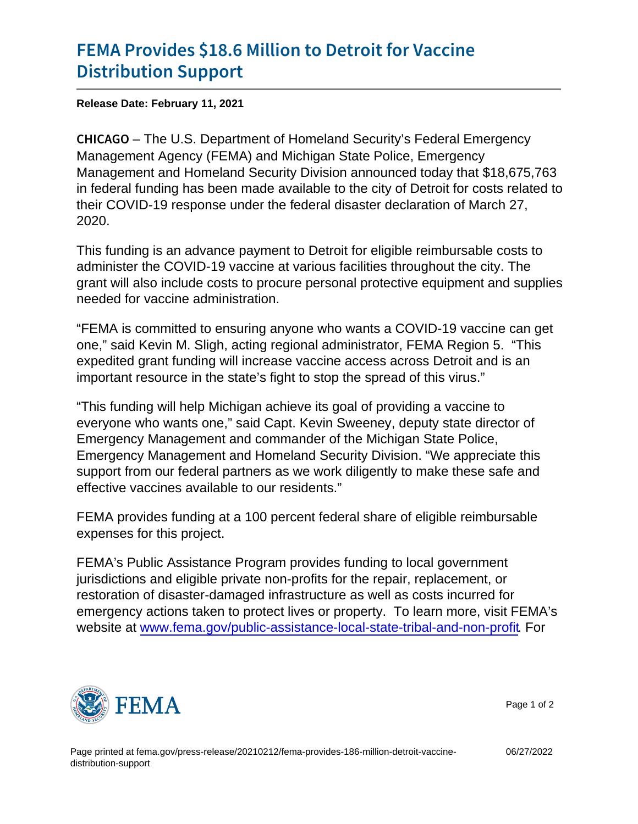## [FEMA Provides \\$18.6 Million t](https://www.fema.gov/press-release/20210212/fema-provides-186-million-detroit-vaccine-distribution-support)o Detroit fo [Distribution](https://www.fema.gov/press-release/20210212/fema-provides-186-million-detroit-vaccine-distribution-support) Support

Release Date: February 11, 2021

C H I C A GIO U.S. Department of Homeland Security's Federal Emergency Management Agency (FEMA) and Michigan State Police, Emergency Management and Homeland Security Division announced today that \$18,675,763 in federal funding has been made available to the city of Detroit for costs related to their COVID-19 response under the federal disaster declaration of March 27, 2020.

This funding is an advance payment to Detroit for eligible reimbursable costs to administer the COVID-19 vaccine at various facilities throughout the city. The grant will also include costs to procure personal protective equipment and supplies needed for vaccine administration.

"FEMA is committed to ensuring anyone who wants a COVID-19 vaccine can get one," said Kevin M. Sligh, acting regional administrator, FEMA Region 5. "This expedited grant funding will increase vaccine access across Detroit and is an important resource in the state's fight to stop the spread of this virus."

"This funding will help Michigan achieve its goal of providing a vaccine to everyone who wants one," said Capt. Kevin Sweeney, deputy state director of Emergency Management and commander of the Michigan State Police, Emergency Management and Homeland Security Division. "We appreciate this support from our federal partners as we work diligently to make these safe and effective vaccines available to our residents."

FEMA provides funding at a 100 percent federal share of eligible reimbursable expenses for this project.

FEMA's Public Assistance Program provides funding to local government jurisdictions and eligible private non-profits for the repair, replacement, or restoration of disaster-damaged infrastructure as well as costs incurred for emergency actions taken to protect lives or property. To learn more, visit FEMA's website at [www.fema.gov/public-assistance-local-state-tribal-and-non-profit](https://u7061146.ct.sendgrid.net/ls/click?upn=TeZUXWpUv-2B6TCY38pVLo9tN3mxTvfG8hFNSgIOiEYnP7XS2bPsmxXK7FBbLjJnwq8nMSEkAOQYN8DOPzCVUo-2ByV-2FVwSbZHJZu5c3TUNxU9s-3DMbRr_ikyrQM0swfJ33H1z8KNu3D7ObPd523An7e-2B4CWGkPn8GS3bpk786cCdFFmP-2B2QL8F87OeGRHWA7jozMrFCaqGjpRX2oZuSXkAGIXOtIDzygNwBOXblbGnrWHQQ3R0-2F-2BU-2FAspO1dhQ0o-2FNBKOu9pZHQXxVpr2yyqQIP1MH-2Fc-2FXh3xCgoTt9iSYojljEB9cgdNM-2Bl9QVW7-2FzDI914h7L73z-2BsBAitwsZoMlP6QYpd7hDD8q-2BqUdD1IeYfGCuShrP4knlTxq7x-2Fs-2BMnNuJJVZ-2BZ6ynB-2FbdJ-2Bj87DI-2F5Mh3gpaXkKSWTd5hSiXJpU-2FwBDT3giTMyeNSU6ONaVb7UUT3f5LjIrqo1YMfwHUm4dURRvNQDV-2B8utkOn9YIPOjR64K47). For



Page 1 of 2

06/27/2022